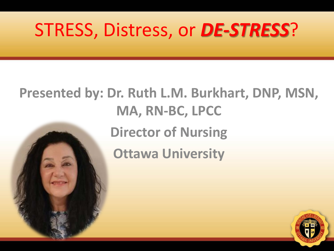## STRESS, Distress, or *DE-STRESS*?

# **Presented by: Dr. Ruth L.M. Burkhart, DNP, MSN, MA, RN-BC, LPCC Director of Nursing Ottawa University**

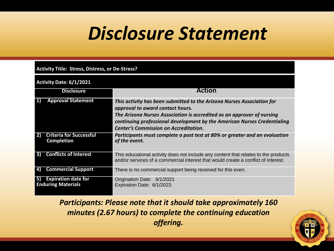## *Disclosure Statement*

#### **Activity Title: Stress, Distress, or De-Stress?**

#### **Activity Date: 6/1/2021**

|    | <b>Disclosure</b>                                       | Action                                                                                                                                                                                                                                                                                                           |
|----|---------------------------------------------------------|------------------------------------------------------------------------------------------------------------------------------------------------------------------------------------------------------------------------------------------------------------------------------------------------------------------|
| 1) | <b>Approval Statement</b>                               | This activity has been submitted to the Arizona Nurses Association for<br>approval to award contact hours.<br>The Arizona Nurses Association is accredited as an approver of nursing<br>continuing professional development by the American Nurses Credentialing<br><b>Center's Commission on Accreditation.</b> |
|    | <b>Criteria for Successful</b><br><b>Completion</b>     | Participants must complete a post test at 80% or greater and an evaluation<br>of the event.                                                                                                                                                                                                                      |
| 3) | <b>Conflicts of Interest</b>                            | This educational activity does not include any content that relates to the products<br>and/or services of a commercial interest that would create a conflict of interest.                                                                                                                                        |
| 4) | <b>Commercial Support</b>                               | There is no commercial support being received for this even.                                                                                                                                                                                                                                                     |
| 5) | <b>Expiration date for</b><br><b>Enduring Materials</b> | Origination Date: 6/1/2021<br>Expiration Date: 6/1/2023                                                                                                                                                                                                                                                          |

*Participants: Please note that it should take approximately 160 minutes (2.67 hours) to complete the continuing education offering.* 

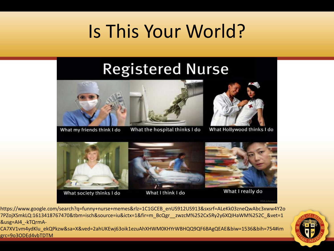## Is This Your World?

#### **Registered Nurse**





What my friends think I do

What the hospital thinks I do



What Hollywood thinks I do



What society thinks I do



What I think I do



What I really do

https://www.google.com/search?q=funny+nurse+memes&rlz=1C1GCEB\_enUS912US913&sxsrf=ALeKk03zneQwAbc3xww4Y2o 7PZojXSmkLQ:1613418767470&tbm=isch&source=iu&ictx=1&fir=m\_BcQgr\_\_zwzcM%252Cx5Ry2y6XQIHaWM%252C\_&vet=1 &usg=AI4\_-kTQrmA-

CA7XV1vm4ydKlu\_ekQPkzw&sa=X&ved=2ahUKEwj63oik1ezuAhXHWM0KHYrWBHQQ9QF6BAgQEAE&biw=1536&bih=754#im grc=9o3ODEd4vbTDTM

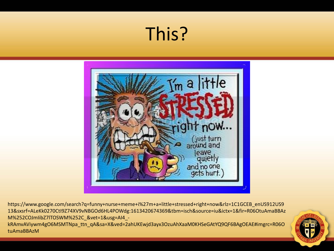## This?



https://www.google.com/search?q=funny+nurse+meme+i%27m+a+little+stressed+right+now&rlz=1C1GCEB\_enUS912US9 13&sxsrf=ALeKk0270CtI9Z74XV9vNBGOd6HL4POWdg:1613420674369&tbm=isch&source=iu&ictx=1&fir=R06OtuAmaBBAz M%252COJmIibZ7lTOSWM%252C\_&vet=1&usg=AI4\_-

kRAmvAViywm4gO6MSMTNpa\_ttn\_qA&sa=X&ved=2ahUKEwjd3ayx3OzuAhXaaM0KHSeGAtYQ9QF6BAgOEAE#imgrc=R06O tuAmaBBAzM

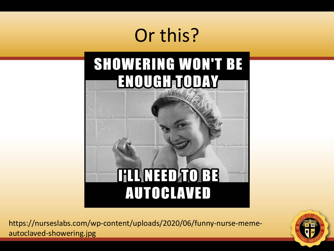## Or this?

#### **SHOWERING WON'T BE ENOUGH TODAY**

**HILMED TO BB** 

**AUTOCLAVED** 

https://nurseslabs.com/wp-content/uploads/2020/06/funny-nurse-memeautoclaved-showering.jpg

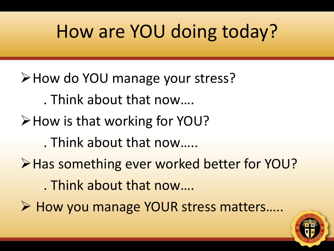## How are YOU doing today?

- How do YOU manage your stress? . Think about that now….
- How is that working for YOU?
	- . Think about that now…..
- **≻Has something ever worked better for YOU?** . Think about that now….
- ▶ How you manage YOUR stress matters.....

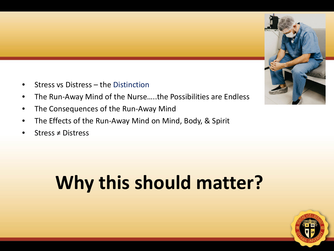- Stress vs Distress the Distinction
- The Run-Away Mind of the Nurse…..the Possibilities are Endless
- The Consequences of the Run-Away Mind
- The Effects of the Run-Away Mind on Mind, Body, & Spirit
- Stress ≠ Distress

# **Why this should matter?**



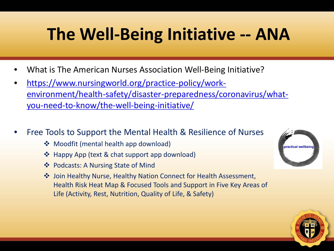## **The Well-Being Initiative -- ANA**

- What is The American Nurses Association Well-Being Initiative?
- https://www.nursingworld.org/practice-policy/work[environment/health-safety/disaster-preparedness/coronavirus/what](https://www.nursingworld.org/practice-policy/work-environment/health-safety/disaster-preparedness/coronavirus/what-you-need-to-know/the-well-being-initiative/)you-need-to-know/the-well-being-initiative/
- Free Tools to Support the Mental Health & Resilience of Nurses
	- ❖ Moodfit (mental health app download)
	- ❖ Happy App (text & chat support app download)
	- ❖ Podcasts: A Nursing State of Mind
	- Join Healthy Nurse, Healthy Nation Connect for Health Assessment, Health Risk Heat Map & Focused Tools and Support in Five Key Areas of Life (Activity, Rest, Nutrition, Quality of Life, & Safety)



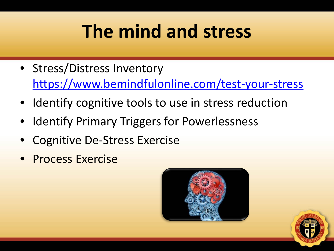## **The mind and stress**

- Stress/Distress Inventory <https://www.bemindfulonline.com/test-your-stress>
- Identify cognitive tools to use in stress reduction
- **Identify Primary Triggers for Powerlessness**
- Cognitive De-Stress Exercise
- Process Exercise



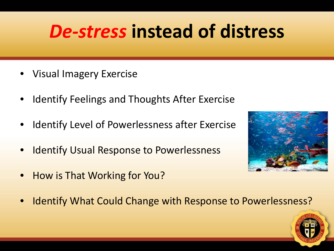## *De-stress* **instead of distress**

- Visual Imagery Exercise
- Identify Feelings and Thoughts After Exercise
- Identify Level of Powerlessness after Exercise
- **Identify Usual Response to Powerlessness**
- How is That Working for You?





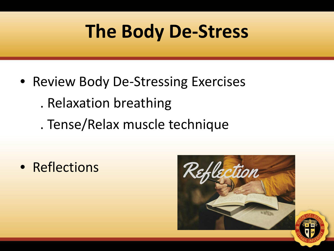## **The Body De-Stress**

- Review Body De-Stressing Exercises . Relaxation breathing
	- . Tense/Relax muscle technique

• Reflections

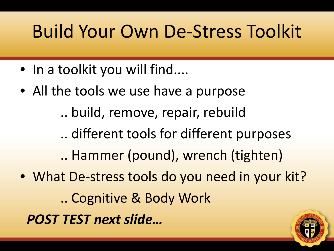## Build Your Own De-Stress Toolkit

- In a toolkit you will find....
- All the tools we use have a purpose

.. build, remove, repair, rebuild

.. different tools for different purposes

.. Hammer (pound), wrench (tighten)

• What De-stress tools do you need in your kit? .. Cognitive & Body Work *POST TEST next slide…*

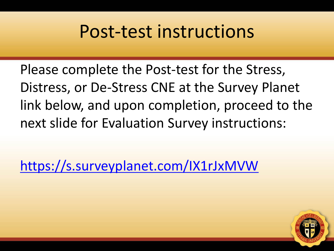### Post-test instructions

Please complete the Post-test for the Stress, Distress, or De-Stress CNE at the Survey Planet link below, and upon completion, proceed to the next slide for Evaluation Survey instructions:

<https://s.surveyplanet.com/IX1rJxMVW>

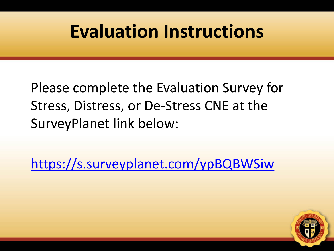### **Evaluation Instructions**

Please complete the Evaluation Survey for Stress, Distress, or De-Stress CNE at the SurveyPlanet link below:

<https://s.surveyplanet.com/ypBQBWSiw>